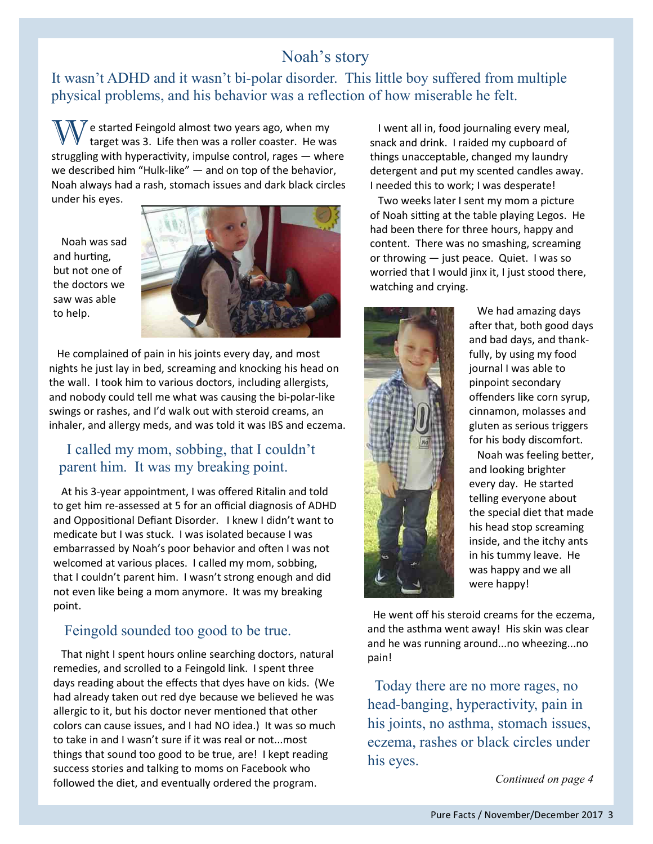# Noah's story

## It wasn't ADHD and it wasn't bi-polar disorder. This little boy suffered from multiple physical problems, and his behavior was a reflection of how miserable he felt.

 $\gamma$  e started Feingold almost two years ago, when my target was 3. Life then was a roller coaster. He was struggling with hyperactivity, impulse control, rages  $-$  where we described him "Hulk-like" — and on top of the behavior, Noah always had a rash, stomach issues and dark black circles under his eyes.

 Noah was sad and hurting. but not one of the doctors we saw was able to help.



 He complained of pain in his joints every day, and most nights he just lay in bed, screaming and knocking his head on the wall. I took him to various doctors, including allergists, and nobody could tell me what was causing the bi-polar-like swings or rashes, and I'd walk out with steroid creams, an inhaler, and allergy meds, and was told it was IBS and eczema.

### I called my mom, sobbing, that I couldn't parent him. It was my breaking point.

 At his 3-year appointment, I was offered Ritalin and told to get him re-assessed at 5 for an official diagnosis of ADHD and Oppositional Defiant Disorder. I knew I didn't want to medicate but I was stuck. I was isolated because I was embarrassed by Noah's poor behavior and often I was not welcomed at various places. I called my mom, sobbing, that I couldn't parent him. I wasn't strong enough and did not even like being a mom anymore. It was my breaking point.

#### Feingold sounded too good to be true.

 That night I spent hours online searching doctors, natural remedies, and scrolled to a Feingold link. I spent three days reading about the effects that dyes have on kids. (We had already taken out red dye because we believed he was allergic to it, but his doctor never mentioned that other colors can cause issues, and I had NO idea.) It was so much to take in and I wasn't sure if it was real or not...most things that sound too good to be true, are! I kept reading success stories and talking to moms on Facebook who followed the diet, and eventually ordered the program.

 I went all in, food journaling every meal, snack and drink. I raided my cupboard of things unacceptable, changed my laundry detergent and put my scented candles away. I needed this to work; I was desperate!

 Two weeks later I sent my mom a picture of Noah sitting at the table playing Legos. He had been there for three hours, happy and content. There was no smashing, screaming or throwing — just peace. Quiet. I was so worried that I would jinx it, I just stood there, watching and crying.



 We had amazing days after that, both good days and bad days, and thankfully, by using my food journal I was able to pinpoint secondary offenders like corn syrup, cinnamon, molasses and gluten as serious triggers for his body discomfort.

Noah was feeling better, and looking brighter every day. He started telling everyone about the special diet that made his head stop screaming inside, and the itchy ants in his tummy leave. He was happy and we all were happy!

 He went off his steroid creams for the eczema, and the asthma went away! His skin was clear and he was running around...no wheezing...no pain!

 Today there are no more rages, no head-banging, hyperactivity, pain in his joints, no asthma, stomach issues, eczema, rashes or black circles under his eyes.

*Continued on page 4*